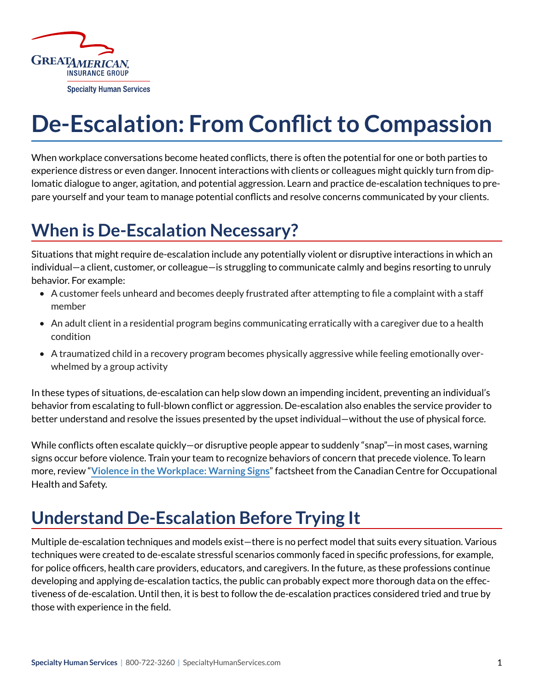

# **De-Escalation: From Conflict to Compassion**

When workplace conversations become heated conflicts, there is often the potential for one or both parties to experience distress or even danger. Innocent interactions with clients or colleagues might quickly turn from diplomatic dialogue to anger, agitation, and potential aggression. Learn and practice de-escalation techniques to prepare yourself and your team to manage potential conflicts and resolve concerns communicated by your clients.

# **When is De-Escalation Necessary?**

Situations that might require de-escalation include any potentially violent or disruptive interactions in which an individual—a client, customer, or colleague—is struggling to communicate calmly and begins resorting to unruly behavior. For example:

- A customer feels unheard and becomes deeply frustrated after attempting to file a complaint with a staff member
- An adult client in a residential program begins communicating erratically with a caregiver due to a health condition
- A traumatized child in a recovery program becomes physically aggressive while feeling emotionally overwhelmed by a group activity

In these types of situations, de-escalation can help slow down an impending incident, preventing an individual's behavior from escalating to full-blown conflict or aggression. De-escalation also enables the service provider to better understand and resolve the issues presented by the upset individual—without the use of physical force.

While conflicts often escalate quickly—or disruptive people appear to suddenly "snap"—in most cases, warning signs occur before violence. Train your team to recognize behaviors of concern that precede violence. To learn more, review "**[Violence in the Workplace: Warning Signs](https://www.ccohs.ca/oshanswers/psychosocial/violence_warning_signs.html)**" factsheet from the Canadian Centre for Occupational Health and Safety.

# **Understand De-Escalation Before Trying It**

Multiple de-escalation techniques and models exist—there is no perfect model that suits every situation. Various techniques were created to de-escalate stressful scenarios commonly faced in specific professions, for example, for police officers, health care providers, educators, and caregivers. In the future, as these professions continue developing and applying de-escalation tactics, the public can probably expect more thorough data on the effectiveness of de-escalation. Until then, it is best to follow the de-escalation practices considered tried and true by those with experience in the field.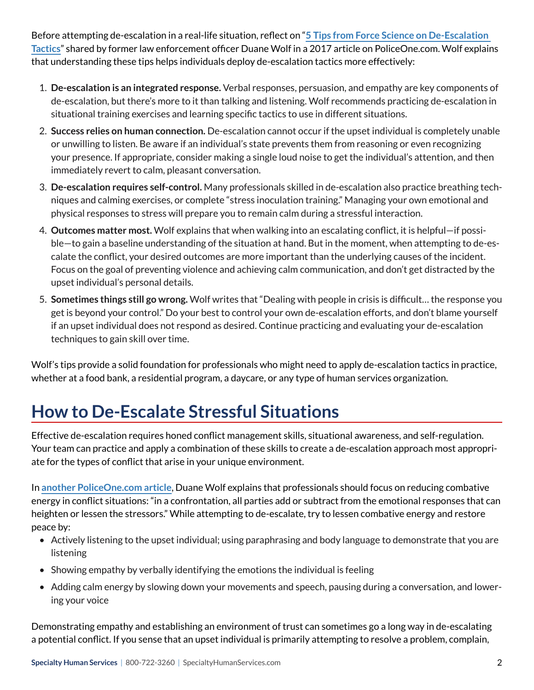Before attempting de-escalation in a real-life situation, reflect on "**[5 Tips from Force Science on De-Escalation](https://www.policeone.com/crisis-intervention-training/articles/5-tips-from-force-science-on-de-escalation-tactics-cftKqoOWGC7SGopa/)  [Tactics](https://www.policeone.com/crisis-intervention-training/articles/5-tips-from-force-science-on-de-escalation-tactics-cftKqoOWGC7SGopa/)**" shared by former law enforcement officer Duane Wolf in a 2017 article on PoliceOne.com. Wolf explains that understanding these tips helps individuals deploy de-escalation tactics more effectively:

- 1. **De-escalation is an integrated response.** Verbal responses, persuasion, and empathy are key components of de-escalation, but there's more to it than talking and listening. Wolf recommends practicing de-escalation in situational training exercises and learning specific tactics to use in different situations.
- 2. **Success relies on human connection.** De-escalation cannot occur if the upset individual is completely unable or unwilling to listen. Be aware if an individual's state prevents them from reasoning or even recognizing your presence. If appropriate, consider making a single loud noise to get the individual's attention, and then immediately revert to calm, pleasant conversation.
- 3. **De-escalation requires self-control.** Many professionals skilled in de-escalation also practice breathing techniques and calming exercises, or complete "stress inoculation training." Managing your own emotional and physical responses to stress will prepare you to remain calm during a stressful interaction.
- 4. **Outcomes matter most.** Wolf explains that when walking into an escalating conflict, it is helpful—if possible—to gain a baseline understanding of the situation at hand. But in the moment, when attempting to de-escalate the conflict, your desired outcomes are more important than the underlying causes of the incident. Focus on the goal of preventing violence and achieving calm communication, and don't get distracted by the upset individual's personal details.
- 5. **Sometimes things still go wrong.** Wolf writes that "Dealing with people in crisis is difficult… the response you get is beyond your control." Do your best to control your own de-escalation efforts, and don't blame yourself if an upset individual does not respond as desired. Continue practicing and evaluating your de-escalation techniques to gain skill over time.

Wolf's tips provide a solid foundation for professionals who might need to apply de-escalation tactics in practice, whether at a food bank, a residential program, a daycare, or any type of human services organization.

# **How to De-Escalate Stressful Situations**

Effective de-escalation requires honed conflict management skills, situational awareness, and self-regulation. Your team can practice and apply a combination of these skills to create a de-escalation approach most appropriate for the types of conflict that arise in your unique environment.

In **[another PoliceOne.com article](https://www.policeone.com/use-of-force/articles/de-escalation-3-factors-that-affect-success-UAMnUAvB2UAqqAEI/)**, Duane Wolf explains that professionals should focus on reducing combative energy in conflict situations: "in a confrontation, all parties add or subtract from the emotional responses that can heighten or lessen the stressors." While attempting to de-escalate, try to lessen combative energy and restore peace by:

- Actively listening to the upset individual; using paraphrasing and body language to demonstrate that you are listening
- Showing empathy by verbally identifying the emotions the individual is feeling
- Adding calm energy by slowing down your movements and speech, pausing during a conversation, and lowering your voice

Demonstrating empathy and establishing an environment of trust can sometimes go a long way in de-escalating a potential conflict. If you sense that an upset individual is primarily attempting to resolve a problem, complain,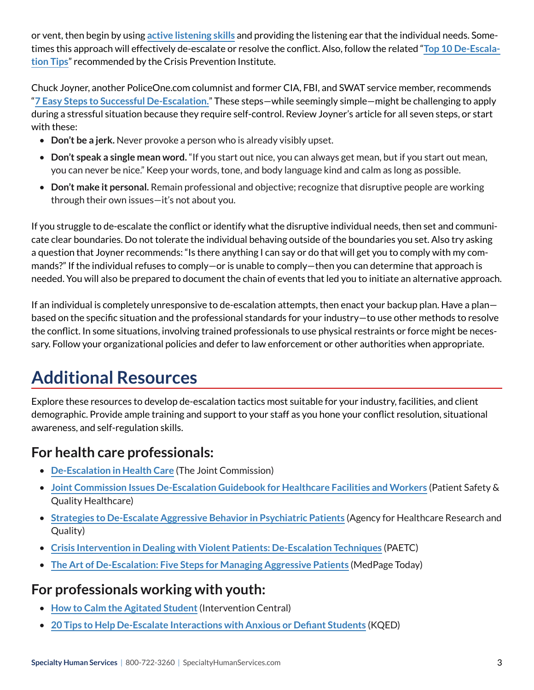or vent, then begin by using **[active listening skills](https://www.forbes.com/sites/womensmedia/2012/11/09/10-steps-to-effective-listening/#24b334943891)** and providing the listening ear that the individual needs. Sometimes this approach will effectively de-escalate or resolve the conflict. Also, follow the related "**[Top 10 De-Escala](https://www.crisisprevention.com/Blog/CPI-s-Top-10-De-Escalation-Tips-Revisited)[tion Tips](https://www.crisisprevention.com/Blog/CPI-s-Top-10-De-Escalation-Tips-Revisited)**" recommended by the Crisis Prevention Institute.

Chuck Joyner, another PoliceOne.com columnist and former CIA, FBI, and SWAT service member, recommends "**[7 Easy Steps to Successful De-Escalation.](https://www.policeone.com/community-policing/articles/7-easy-steps-to-successful-de-escalation-qnEVXC0JUTR0j4w0/)**" These steps—while seemingly simple—might be challenging to apply during a stressful situation because they require self-control. Review Joyner's article for all seven steps, or start with these:

- **Don't be a jerk.** Never provoke a person who is already visibly upset.
- **Don't speak a single mean word.** "If you start out nice, you can always get mean, but if you start out mean, you can never be nice." Keep your words, tone, and body language kind and calm as long as possible.
- **Don't make it personal.** Remain professional and objective; recognize that disruptive people are working through their own issues—it's not about you.

If you struggle to de-escalate the conflict or identify what the disruptive individual needs, then set and communicate clear boundaries. Do not tolerate the individual behaving outside of the boundaries you set. Also try asking a question that Joyner recommends: "Is there anything I can say or do that will get you to comply with my commands?" If the individual refuses to comply—or is unable to comply—then you can determine that approach is needed. You will also be prepared to document the chain of events that led you to initiate an alternative approach.

If an individual is completely unresponsive to de-escalation attempts, then enact your backup plan. Have a plan based on the specific situation and the professional standards for your industry—to use other methods to resolve the conflict. In some situations, involving trained professionals to use physical restraints or force might be necessary. Follow your organizational policies and defer to law enforcement or other authorities when appropriate.

# **Additional Resources**

Explore these resources to develop de-escalation tactics most suitable for your industry, facilities, and client demographic. Provide ample training and support to your staff as you hone your conflict resolution, situational awareness, and self-regulation skills.

### **For health care professionals:**

- **[De-Escalation in Health Care](https://www.jointcommission.org/-/media/tjc/documents/resources/workplace-violence/qs_deescalation_1_28_18_final.pdf?db=web&hash=DD556FD4E3E4FA13B64E9A4BF4B5458A)** (The Joint Commission)
- **[Joint Commission Issues De-Escalation Guidebook for Healthcare Facilities and Workers](https://www.psqh.com/analysis/joint-commission-issues-de-escalation-guidebook-for-healthcare-facilities-and-workers/)** (Patient Safety & Quality Healthcare)
- **[Strategies to De-Escalate Aggressive Behavior in Psychiatric Patients](https://www.ncbi.nlm.nih.gov/books/NBK379399/)** (Agency for Healthcare Research and Quality)
- **[Crisis Intervention in Dealing with Violent Patients: De-Escalation Techniques](http://paetc.org/wp-content/uploads/2014/10/De-escalation-PACE.pdf)** (PAETC)
- **[The Art of De-Escalation: Five Steps for Managing Aggressive Patients](https://www.medpagetoday.com/nursing/nursing/82157)** (MedPage Today)

### **For professionals working with youth:**

- **[How to Calm the Agitated Student](https://www.interventioncentral.org/behavior_calm_agitated_student)** (Intervention Central)
- **[20 Tips to Help De-Escalate Interactions with Anxious or Defiant Students](https://www.kqed.org/mindshift/43049/20-tips-to-help-de-escalate-interactions-with-anxious-or-defiant-students)** (KQED)